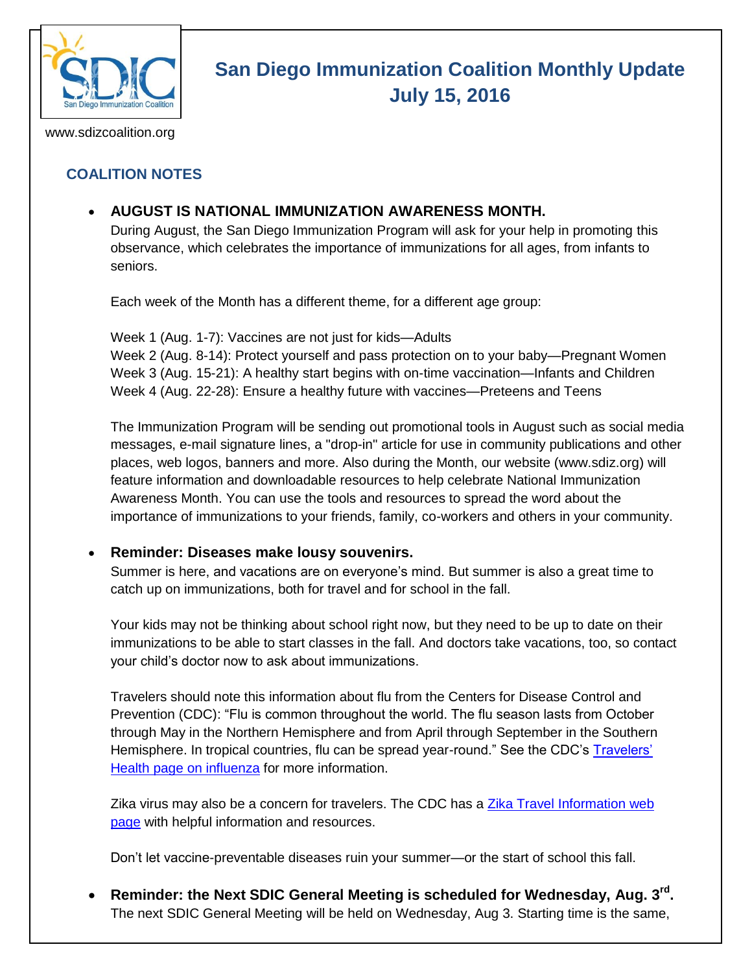

# **San Diego Immunization Coalition Monthly Update July 15, 2016**

www.sdizcoalition.org

## **COALITION NOTES**

**AUGUST IS NATIONAL IMMUNIZATION AWARENESS MONTH.**

During August, the San Diego Immunization Program will ask for your help in promoting this observance, which celebrates the importance of immunizations for all ages, from infants to seniors.

Each week of the Month has a different theme, for a different age group:

Week 1 (Aug. 1-7): Vaccines are not just for kids—Adults Week 2 (Aug. 8-14): Protect yourself and pass protection on to your baby—Pregnant Women Week 3 (Aug. 15-21): A healthy start begins with on-time vaccination—Infants and Children Week 4 (Aug. 22-28): Ensure a healthy future with vaccines—Preteens and Teens

The Immunization Program will be sending out promotional tools in August such as social media messages, e-mail signature lines, a "drop-in" article for use in community publications and other places, web logos, banners and more. Also during the Month, our website (www.sdiz.org) will feature information and downloadable resources to help celebrate National Immunization Awareness Month. You can use the tools and resources to spread the word about the importance of immunizations to your friends, family, co-workers and others in your community.

#### **Reminder: Diseases make lousy souvenirs.**

Summer is here, and vacations are on everyone's mind. But summer is also a great time to catch up on immunizations, both for travel and for school in the fall.

Your kids may not be thinking about school right now, but they need to be up to date on their immunizations to be able to start classes in the fall. And doctors take vacations, too, so contact your child's doctor now to ask about immunizations.

Travelers should note this information about flu from the Centers for Disease Control and Prevention (CDC): "Flu is common throughout the world. The flu season lasts from October through May in the Northern Hemisphere and from April through September in the Southern Hemisphere. In tropical countries, flu can be spread year-round." See the CDC's Travelers' [Health page on influenza](http://wwwnc.cdc.gov/travel/diseases/influenza-seasonal-zoonotic-and-pandemic) for more information.

Zika virus may also be a concern for travelers. The CDC has a Zika Travel Information web [page](http://wwwnc.cdc.gov/travel/page/zika-information) with helpful information and resources.

Don't let vaccine-preventable diseases ruin your summer—or the start of school this fall.

 **Reminder: the Next SDIC General Meeting is scheduled for Wednesday, Aug. 3rd .**  The next SDIC General Meeting will be held on Wednesday, Aug 3. Starting time is the same,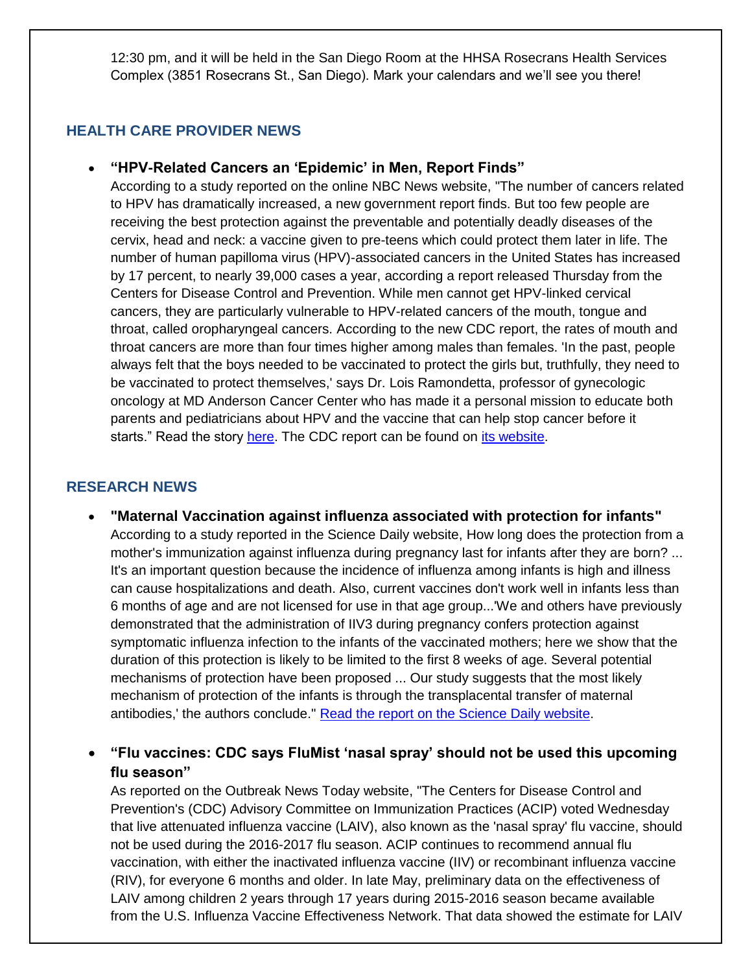12:30 pm, and it will be held in the San Diego Room at the HHSA Rosecrans Health Services Complex (3851 Rosecrans St., San Diego). Mark your calendars and we'll see you there!

### **HEALTH CARE PROVIDER NEWS**

#### **"HPV-Related Cancers an 'Epidemic' in Men, Report Finds"**

According to a study reported on the online NBC News website, "The number of cancers related to HPV has dramatically increased, a new government report finds. But too few people are receiving the best protection against the preventable and potentially deadly diseases of the cervix, head and neck: a vaccine given to pre-teens which could protect them later in life. The number of human papilloma virus (HPV)-associated cancers in the United States has increased by 17 percent, to nearly 39,000 cases a year, according a report released Thursday from the Centers for Disease Control and Prevention. While men cannot get HPV-linked cervical cancers, they are particularly vulnerable to HPV-related cancers of the mouth, tongue and throat, called oropharyngeal cancers. According to the new CDC report, the rates of mouth and throat cancers are more than four times higher among males than females. 'In the past, people always felt that the boys needed to be vaccinated to protect the girls but, truthfully, they need to be vaccinated to protect themselves,' says Dr. Lois Ramondetta, professor of gynecologic oncology at MD Anderson Cancer Center who has made it a personal mission to educate both parents and pediatricians about HPV and the vaccine that can help stop cancer before it starts." Read the story [here.](http://www.nbcnews.com/health/cancer/hpv-related-cancers-epidemic-men-report-) The CDC report can be found on [its website.](http://www.cdc.gov/mmwr/volumes/65/wr/mm6526a1.htm?s_cid=mm6526a1_w)

### **RESEARCH NEWS**

 **"Maternal Vaccination against influenza associated with protection for infants"** According to a study reported in the Science Daily website, How long does the protection from a mother's immunization against influenza during pregnancy last for infants after they are born? ... It's an important question because the incidence of influenza among infants is high and illness can cause hospitalizations and death. Also, current vaccines don't work well in infants less than 6 months of age and are not licensed for use in that age group...'We and others have previously demonstrated that the administration of IIV3 during pregnancy confers protection against symptomatic influenza infection to the infants of the vaccinated mothers; here we show that the duration of this protection is likely to be limited to the first 8 weeks of age. Several potential mechanisms of protection have been proposed ... Our study suggests that the most likely mechanism of protection of the infants is through the transplacental transfer of maternal antibodies,' the authors conclude." [Read the report on the Science Daily website.](https://www.sciencedaily.com/releases/2016/07/160705120019.htm)

 **"Flu vaccines: CDC says FluMist 'nasal spray' should not be used this upcoming flu season"** 

As reported on the Outbreak News Today website, "The Centers for Disease Control and Prevention's (CDC) Advisory Committee on Immunization Practices (ACIP) voted Wednesday that live attenuated influenza vaccine (LAIV), also known as the 'nasal spray' flu vaccine, should not be used during the 2016-2017 flu season. ACIP continues to recommend annual flu vaccination, with either the inactivated influenza vaccine (IIV) or recombinant influenza vaccine (RIV), for everyone 6 months and older. In late May, preliminary data on the effectiveness of LAIV among children 2 years through 17 years during 2015-2016 season became available from the U.S. Influenza Vaccine Effectiveness Network. That data showed the estimate for LAIV